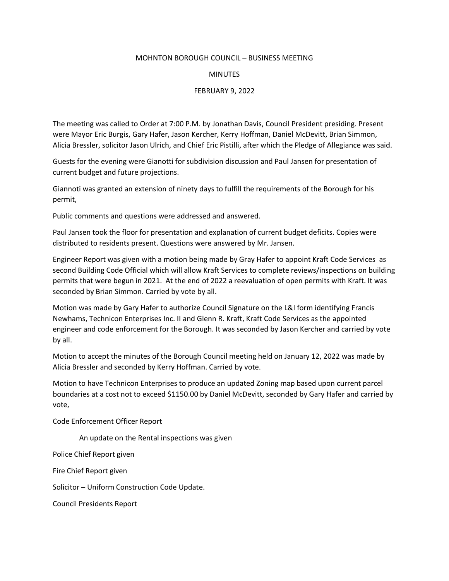## MOHNTON BOROUGH COUNCIL – BUSINESS MEETING

## MINUTES

## FEBRUARY 9, 2022

The meeting was called to Order at 7:00 P.M. by Jonathan Davis, Council President presiding. Present were Mayor Eric Burgis, Gary Hafer, Jason Kercher, Kerry Hoffman, Daniel McDevitt, Brian Simmon, Alicia Bressler, solicitor Jason Ulrich, and Chief Eric Pistilli, after which the Pledge of Allegiance was said.

Guests for the evening were Gianotti for subdivision discussion and Paul Jansen for presentation of current budget and future projections.

Giannoti was granted an extension of ninety days to fulfill the requirements of the Borough for his permit,

Public comments and questions were addressed and answered.

Paul Jansen took the floor for presentation and explanation of current budget deficits. Copies were distributed to residents present. Questions were answered by Mr. Jansen.

Engineer Report was given with a motion being made by Gray Hafer to appoint Kraft Code Services as second Building Code Official which will allow Kraft Services to complete reviews/inspections on building permits that were begun in 2021. At the end of 2022 a reevaluation of open permits with Kraft. It was seconded by Brian Simmon. Carried by vote by all.

Motion was made by Gary Hafer to authorize Council Signature on the L&I form identifying Francis Newhams, Technicon Enterprises Inc. II and Glenn R. Kraft, Kraft Code Services as the appointed engineer and code enforcement for the Borough. It was seconded by Jason Kercher and carried by vote by all.

Motion to accept the minutes of the Borough Council meeting held on January 12, 2022 was made by Alicia Bressler and seconded by Kerry Hoffman. Carried by vote.

Motion to have Technicon Enterprises to produce an updated Zoning map based upon current parcel boundaries at a cost not to exceed \$1150.00 by Daniel McDevitt, seconded by Gary Hafer and carried by vote,

Code Enforcement Officer Report

An update on the Rental inspections was given

Police Chief Report given

Fire Chief Report given

Solicitor – Uniform Construction Code Update.

Council Presidents Report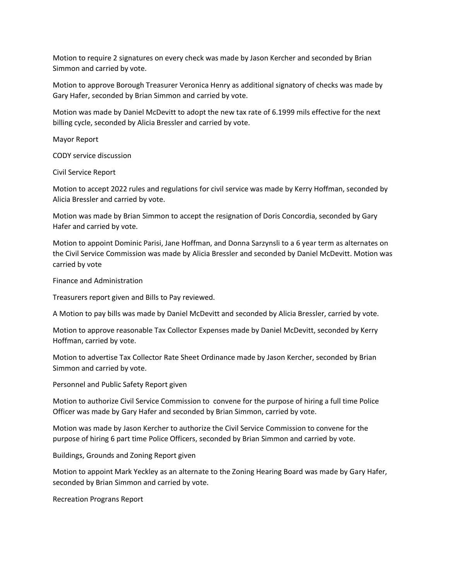Motion to require 2 signatures on every check was made by Jason Kercher and seconded by Brian Simmon and carried by vote.

Motion to approve Borough Treasurer Veronica Henry as additional signatory of checks was made by Gary Hafer, seconded by Brian Simmon and carried by vote.

Motion was made by Daniel McDevitt to adopt the new tax rate of 6.1999 mils effective for the next billing cycle, seconded by Alicia Bressler and carried by vote.

Mayor Report

CODY service discussion

Civil Service Report

Motion to accept 2022 rules and regulations for civil service was made by Kerry Hoffman, seconded by Alicia Bressler and carried by vote.

Motion was made by Brian Simmon to accept the resignation of Doris Concordia, seconded by Gary Hafer and carried by vote.

Motion to appoint Dominic Parisi, Jane Hoffman, and Donna Sarzynsli to a 6 year term as alternates on the Civil Service Commission was made by Alicia Bressler and seconded by Daniel McDevitt. Motion was carried by vote

Finance and Administration

Treasurers report given and Bills to Pay reviewed.

A Motion to pay bills was made by Daniel McDevitt and seconded by Alicia Bressler, carried by vote.

Motion to approve reasonable Tax Collector Expenses made by Daniel McDevitt, seconded by Kerry Hoffman, carried by vote.

Motion to advertise Tax Collector Rate Sheet Ordinance made by Jason Kercher, seconded by Brian Simmon and carried by vote.

Personnel and Public Safety Report given

Motion to authorize Civil Service Commission to convene for the purpose of hiring a full time Police Officer was made by Gary Hafer and seconded by Brian Simmon, carried by vote.

Motion was made by Jason Kercher to authorize the Civil Service Commission to convene for the purpose of hiring 6 part time Police Officers, seconded by Brian Simmon and carried by vote.

Buildings, Grounds and Zoning Report given

Motion to appoint Mark Yeckley as an alternate to the Zoning Hearing Board was made by Gary Hafer, seconded by Brian Simmon and carried by vote.

Recreation Prograns Report